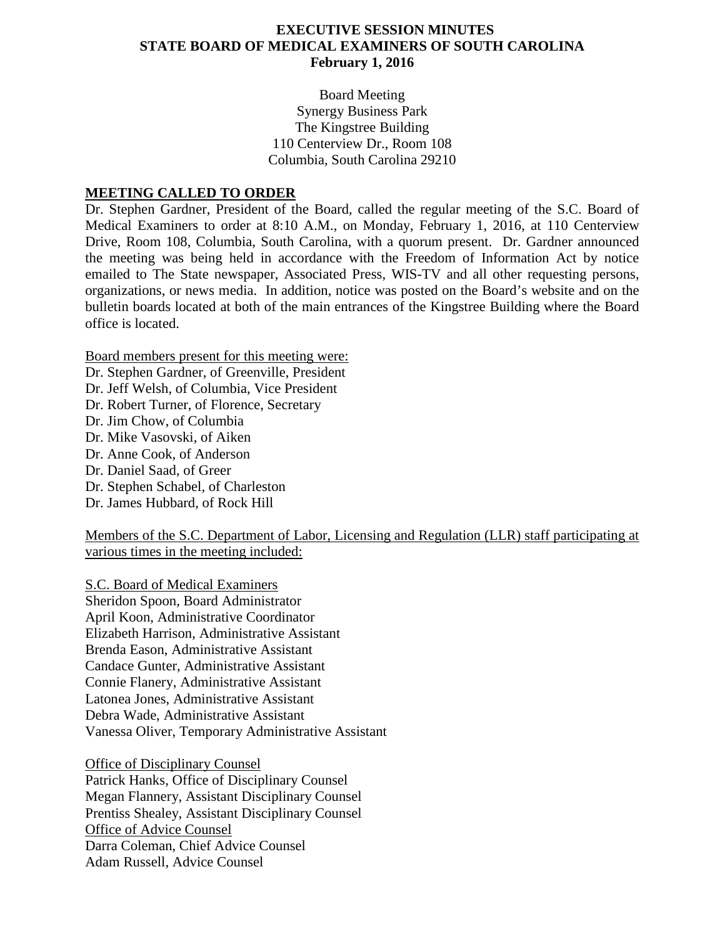#### **EXECUTIVE SESSION MINUTES STATE BOARD OF MEDICAL EXAMINERS OF SOUTH CAROLINA February 1, 2016**

Board Meeting Synergy Business Park The Kingstree Building 110 Centerview Dr., Room 108 Columbia, South Carolina 29210

#### **MEETING CALLED TO ORDER**

Dr. Stephen Gardner, President of the Board, called the regular meeting of the S.C. Board of Medical Examiners to order at 8:10 A.M., on Monday, February 1, 2016, at 110 Centerview Drive, Room 108, Columbia, South Carolina, with a quorum present. Dr. Gardner announced the meeting was being held in accordance with the Freedom of Information Act by notice emailed to The State newspaper, Associated Press, WIS-TV and all other requesting persons, organizations, or news media. In addition, notice was posted on the Board's website and on the bulletin boards located at both of the main entrances of the Kingstree Building where the Board office is located.

Board members present for this meeting were:

Dr. Stephen Gardner, of Greenville, President Dr. Jeff Welsh, of Columbia, Vice President Dr. Robert Turner, of Florence, Secretary Dr. Jim Chow, of Columbia Dr. Mike Vasovski, of Aiken Dr. Anne Cook, of Anderson Dr. Daniel Saad, of Greer Dr. Stephen Schabel, of Charleston Dr. James Hubbard, of Rock Hill

Members of the S.C. Department of Labor, Licensing and Regulation (LLR) staff participating at various times in the meeting included:

Sheridon Spoon, Board Administrator S.C. Board of Medical Examiners April Koon, Administrative Coordinator Elizabeth Harrison, Administrative Assistant Brenda Eason, Administrative Assistant Candace Gunter, Administrative Assistant Connie Flanery, Administrative Assistant Latonea Jones, Administrative Assistant Debra Wade, Administrative Assistant Vanessa Oliver, Temporary Administrative Assistant

Patrick Hanks, Office of Disciplinary Counsel Office of Disciplinary Counsel Megan Flannery, Assistant Disciplinary Counsel Prentiss Shealey, Assistant Disciplinary Counsel Darra Coleman, Chief Advice Counsel Office of Advice Counsel Adam Russell, Advice Counsel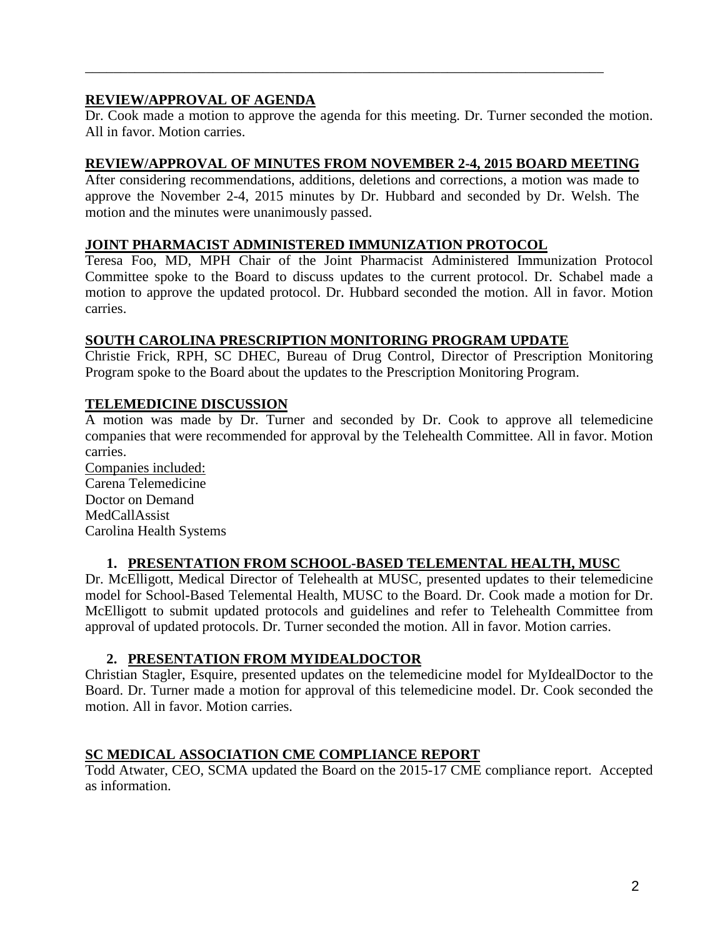# **REVIEW/APPROVAL OF AGENDA**

Dr. Cook made a motion to approve the agenda for this meeting. Dr. Turner seconded the motion. All in favor. Motion carries.

\_\_\_\_\_\_\_\_\_\_\_\_\_\_\_\_\_\_\_\_\_\_\_\_\_\_\_\_\_\_\_\_\_\_\_\_\_\_\_\_\_\_\_\_\_\_\_\_\_\_\_\_\_\_\_\_\_\_\_\_\_\_\_\_\_\_\_\_\_\_\_\_\_

#### **REVIEW/APPROVAL OF MINUTES FROM NOVEMBER 2-4, 2015 BOARD MEETING**

After considering recommendations, additions, deletions and corrections, a motion was made to approve the November 2-4, 2015 minutes by Dr. Hubbard and seconded by Dr. Welsh. The motion and the minutes were unanimously passed.

#### **JOINT PHARMACIST ADMINISTERED IMMUNIZATION PROTOCOL**

Teresa Foo, MD, MPH Chair of the Joint Pharmacist Administered Immunization Protocol Committee spoke to the Board to discuss updates to the current protocol. Dr. Schabel made a motion to approve the updated protocol. Dr. Hubbard seconded the motion. All in favor. Motion carries.

#### **SOUTH CAROLINA PRESCRIPTION MONITORING PROGRAM UPDATE**

Christie Frick, RPH, SC DHEC, Bureau of Drug Control, Director of Prescription Monitoring Program spoke to the Board about the updates to the Prescription Monitoring Program.

## **TELEMEDICINE DISCUSSION**

A motion was made by Dr. Turner and seconded by Dr. Cook to approve all telemedicine companies that were recommended for approval by the Telehealth Committee. All in favor. Motion carries.

Carena Telemedicine Companies included: Doctor on Demand MedCallAssist Carolina Health Systems

# **1. PRESENTATION FROM SCHOOL-BASED TELEMENTAL HEALTH, MUSC**

Dr. McElligott, Medical Director of Telehealth at MUSC, presented updates to their telemedicine model for School-Based Telemental Health, MUSC to the Board. Dr. Cook made a motion for Dr. McElligott to submit updated protocols and guidelines and refer to Telehealth Committee from approval of updated protocols. Dr. Turner seconded the motion. All in favor. Motion carries.

#### **2. PRESENTATION FROM MYIDEALDOCTOR**

Christian Stagler, Esquire, presented updates on the telemedicine model for MyIdealDoctor to the Board. Dr. Turner made a motion for approval of this telemedicine model. Dr. Cook seconded the motion. All in favor. Motion carries.

## **SC MEDICAL ASSOCIATION CME COMPLIANCE REPORT**

Todd Atwater, CEO, SCMA updated the Board on the 2015-17 CME compliance report. Accepted as information.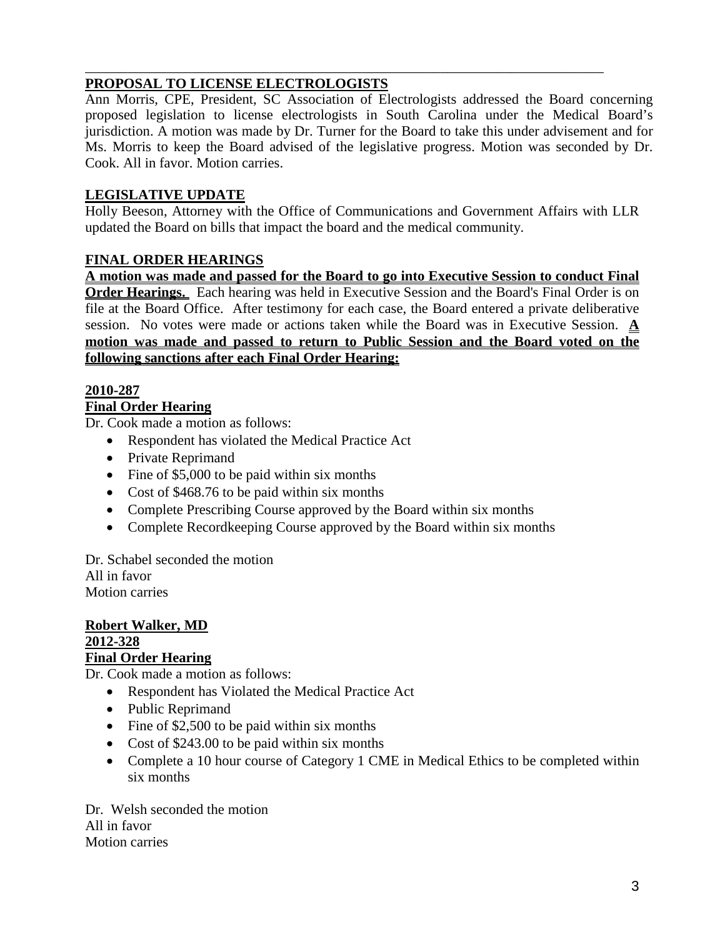#### \_\_\_\_\_\_\_\_\_\_\_\_\_\_\_\_\_\_\_\_\_\_\_\_\_\_\_\_\_\_\_\_\_\_\_\_\_\_\_\_\_\_\_\_\_\_\_\_\_\_\_\_\_\_\_\_\_\_\_\_\_\_\_\_\_\_\_\_\_\_\_\_\_ **PROPOSAL TO LICENSE ELECTROLOGISTS**

Ann Morris, CPE, President, SC Association of Electrologists addressed the Board concerning proposed legislation to license electrologists in South Carolina under the Medical Board's jurisdiction. A motion was made by Dr. Turner for the Board to take this under advisement and for Ms. Morris to keep the Board advised of the legislative progress. Motion was seconded by Dr. Cook. All in favor. Motion carries.

# **LEGISLATIVE UPDATE**

Holly Beeson, Attorney with the Office of Communications and Government Affairs with LLR updated the Board on bills that impact the board and the medical community.

# **FINAL ORDER HEARINGS**

**A motion was made and passed for the Board to go into Executive Session to conduct Final Order Hearings.** Each hearing was held in Executive Session and the Board's Final Order is on file at the Board Office. After testimony for each case, the Board entered a private deliberative session. No votes were made or actions taken while the Board was in Executive Session. **A motion was made and passed to return to Public Session and the Board voted on the following sanctions after each Final Order Hearing:**

# **2010-287**

# **Final Order Hearing**

Dr. Cook made a motion as follows:

- Respondent has violated the Medical Practice Act
- Private Reprimand
- Fine of \$5,000 to be paid within six months
- Cost of \$468.76 to be paid within six months
- Complete Prescribing Course approved by the Board within six months
- Complete Recordkeeping Course approved by the Board within six months

Dr. Schabel seconded the motion All in favor Motion carries

**Robert Walker, MD 2012-328 Final Order Hearing**

Dr. Cook made a motion as follows:

- Respondent has Violated the Medical Practice Act
- Public Reprimand
- Fine of \$2,500 to be paid within six months
- Cost of \$243.00 to be paid within six months
- Complete a 10 hour course of Category 1 CME in Medical Ethics to be completed within six months

Dr. Welsh seconded the motion All in favor Motion carries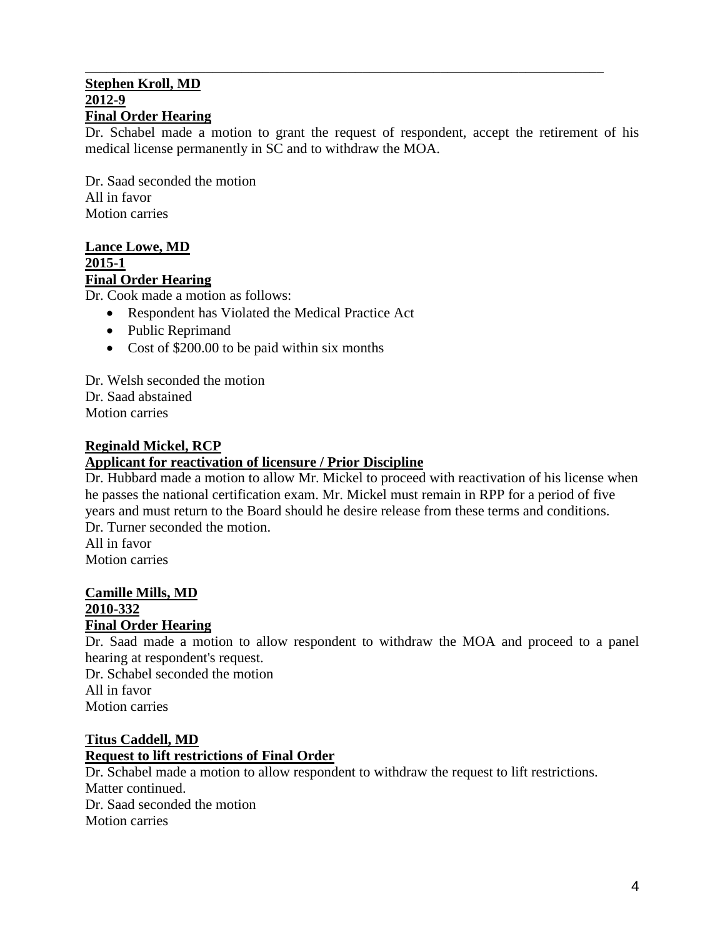#### \_\_\_\_\_\_\_\_\_\_\_\_\_\_\_\_\_\_\_\_\_\_\_\_\_\_\_\_\_\_\_\_\_\_\_\_\_\_\_\_\_\_\_\_\_\_\_\_\_\_\_\_\_\_\_\_\_\_\_\_\_\_\_\_\_\_\_\_\_\_\_\_\_ **Stephen Kroll, MD 2012-9 Final Order Hearing**

Dr. Schabel made a motion to grant the request of respondent, accept the retirement of his medical license permanently in SC and to withdraw the MOA.

Dr. Saad seconded the motion All in favor Motion carries

#### **Lance Lowe, MD 2015-1 Final Order Hearing**

Dr. Cook made a motion as follows:

- Respondent has Violated the Medical Practice Act
- Public Reprimand
- Cost of \$200.00 to be paid within six months

Dr. Welsh seconded the motion Dr. Saad abstained Motion carries

#### **Reginald Mickel, RCP**

#### **Applicant for reactivation of licensure / Prior Discipline**

Dr. Hubbard made a motion to allow Mr. Mickel to proceed with reactivation of his license when he passes the national certification exam. Mr. Mickel must remain in RPP for a period of five years and must return to the Board should he desire release from these terms and conditions. Dr. Turner seconded the motion. All in favor

Motion carries

#### **Camille Mills, MD 2010-332 Final Order Hearing**

Dr. Saad made a motion to allow respondent to withdraw the MOA and proceed to a panel hearing at respondent's request.

Dr. Schabel seconded the motion All in favor Motion carries

## **Titus Caddell, MD Request to lift restrictions of Final Order**

Dr. Schabel made a motion to allow respondent to withdraw the request to lift restrictions. Matter continued. Dr. Saad seconded the motion Motion carries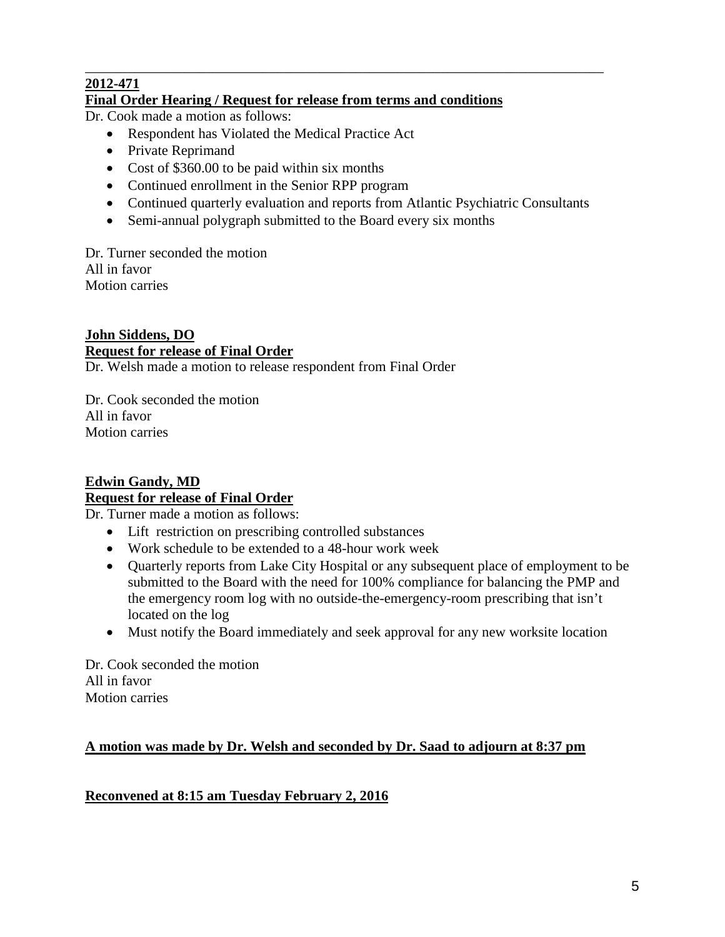#### \_\_\_\_\_\_\_\_\_\_\_\_\_\_\_\_\_\_\_\_\_\_\_\_\_\_\_\_\_\_\_\_\_\_\_\_\_\_\_\_\_\_\_\_\_\_\_\_\_\_\_\_\_\_\_\_\_\_\_\_\_\_\_\_\_\_\_\_\_\_\_\_\_ **2012-471**

## **Final Order Hearing / Request for release from terms and conditions**

Dr. Cook made a motion as follows:

- Respondent has Violated the Medical Practice Act
- Private Reprimand
- Cost of \$360.00 to be paid within six months
- Continued enrollment in the Senior RPP program
- Continued quarterly evaluation and reports from Atlantic Psychiatric Consultants
- Semi-annual polygraph submitted to the Board every six months

Dr. Turner seconded the motion All in favor Motion carries

# **John Siddens, DO Request for release of Final Order**

Dr. Welsh made a motion to release respondent from Final Order

Dr. Cook seconded the motion All in favor Motion carries

## **Edwin Gandy, MD Request for release of Final Order**

Dr. Turner made a motion as follows:

- Lift restriction on prescribing controlled substances
- Work schedule to be extended to a 48-hour work week
- Quarterly reports from Lake City Hospital or any subsequent place of employment to be submitted to the Board with the need for 100% compliance for balancing the PMP and the emergency room log with no outside-the-emergency-room prescribing that isn't located on the log
- Must notify the Board immediately and seek approval for any new worksite location

Dr. Cook seconded the motion All in favor Motion carries

# **A motion was made by Dr. Welsh and seconded by Dr. Saad to adjourn at 8:37 pm**

# **Reconvened at 8:15 am Tuesday February 2, 2016**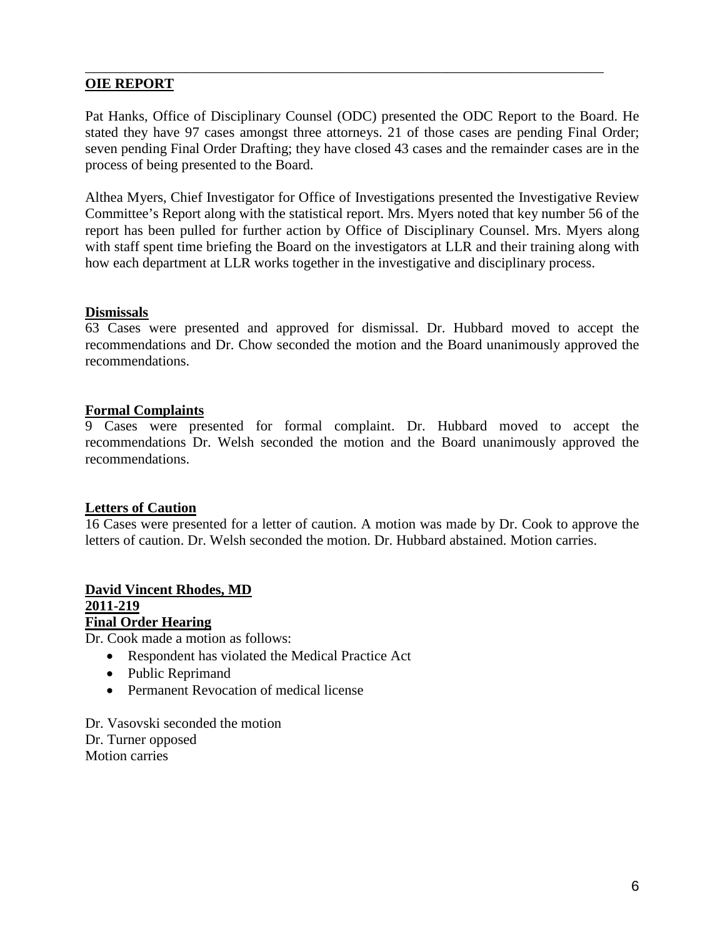## **OIE REPORT**

Pat Hanks, Office of Disciplinary Counsel (ODC) presented the ODC Report to the Board. He stated they have 97 cases amongst three attorneys. 21 of those cases are pending Final Order; seven pending Final Order Drafting; they have closed 43 cases and the remainder cases are in the process of being presented to the Board.

\_\_\_\_\_\_\_\_\_\_\_\_\_\_\_\_\_\_\_\_\_\_\_\_\_\_\_\_\_\_\_\_\_\_\_\_\_\_\_\_\_\_\_\_\_\_\_\_\_\_\_\_\_\_\_\_\_\_\_\_\_\_\_\_\_\_\_\_\_\_\_\_\_

Althea Myers, Chief Investigator for Office of Investigations presented the Investigative Review Committee's Report along with the statistical report. Mrs. Myers noted that key number 56 of the report has been pulled for further action by Office of Disciplinary Counsel. Mrs. Myers along with staff spent time briefing the Board on the investigators at LLR and their training along with how each department at LLR works together in the investigative and disciplinary process.

#### **Dismissals**

63 Cases were presented and approved for dismissal. Dr. Hubbard moved to accept the recommendations and Dr. Chow seconded the motion and the Board unanimously approved the recommendations.

#### **Formal Complaints**

9 Cases were presented for formal complaint. Dr. Hubbard moved to accept the recommendations Dr. Welsh seconded the motion and the Board unanimously approved the recommendations.

#### **Letters of Caution**

16 Cases were presented for a letter of caution. A motion was made by Dr. Cook to approve the letters of caution. Dr. Welsh seconded the motion. Dr. Hubbard abstained. Motion carries.

#### **David Vincent Rhodes, MD 2011-219 Final Order Hearing**

Dr. Cook made a motion as follows:

- Respondent has violated the Medical Practice Act
- Public Reprimand
- Permanent Revocation of medical license

Dr. Vasovski seconded the motion Dr. Turner opposed Motion carries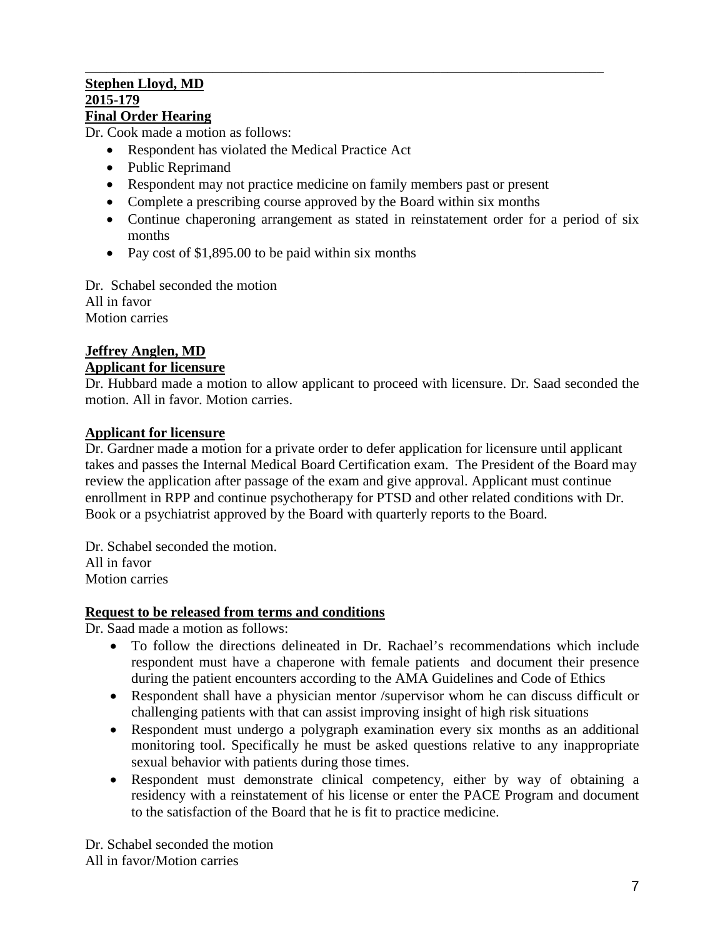#### \_\_\_\_\_\_\_\_\_\_\_\_\_\_\_\_\_\_\_\_\_\_\_\_\_\_\_\_\_\_\_\_\_\_\_\_\_\_\_\_\_\_\_\_\_\_\_\_\_\_\_\_\_\_\_\_\_\_\_\_\_\_\_\_\_\_\_\_\_\_\_\_\_ **Stephen Lloyd, MD 2015-179 Final Order Hearing**

Dr. Cook made a motion as follows:

- Respondent has violated the Medical Practice Act
- Public Reprimand
- Respondent may not practice medicine on family members past or present
- Complete a prescribing course approved by the Board within six months
- Continue chaperoning arrangement as stated in reinstatement order for a period of six months
- Pay cost of \$1,895.00 to be paid within six months

Dr. Schabel seconded the motion All in favor Motion carries

## **Jeffrey Anglen, MD Applicant for licensure**

Dr. Hubbard made a motion to allow applicant to proceed with licensure. Dr. Saad seconded the motion. All in favor. Motion carries.

## **Applicant for licensure**

Dr. Gardner made a motion for a private order to defer application for licensure until applicant takes and passes the Internal Medical Board Certification exam. The President of the Board may review the application after passage of the exam and give approval. Applicant must continue enrollment in RPP and continue psychotherapy for PTSD and other related conditions with Dr. Book or a psychiatrist approved by the Board with quarterly reports to the Board.

Dr. Schabel seconded the motion. All in favor Motion carries

## **Request to be released from terms and conditions**

Dr. Saad made a motion as follows:

- To follow the directions delineated in Dr. Rachael's recommendations which include respondent must have a chaperone with female patients and document their presence during the patient encounters according to the AMA Guidelines and Code of Ethics
- Respondent shall have a physician mentor /supervisor whom he can discuss difficult or challenging patients with that can assist improving insight of high risk situations
- Respondent must undergo a polygraph examination every six months as an additional monitoring tool. Specifically he must be asked questions relative to any inappropriate sexual behavior with patients during those times.
- Respondent must demonstrate clinical competency, either by way of obtaining a residency with a reinstatement of his license or enter the PACE Program and document to the satisfaction of the Board that he is fit to practice medicine.

Dr. Schabel seconded the motion All in favor/Motion carries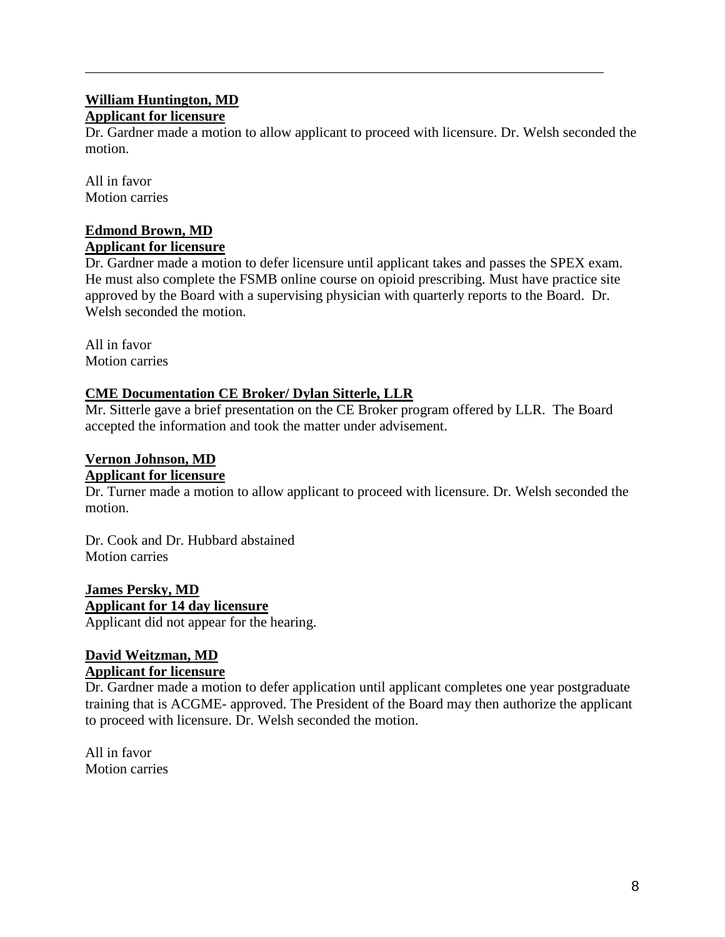## **William Huntington, MD Applicant for licensure**

Dr. Gardner made a motion to allow applicant to proceed with licensure. Dr. Welsh seconded the motion.

\_\_\_\_\_\_\_\_\_\_\_\_\_\_\_\_\_\_\_\_\_\_\_\_\_\_\_\_\_\_\_\_\_\_\_\_\_\_\_\_\_\_\_\_\_\_\_\_\_\_\_\_\_\_\_\_\_\_\_\_\_\_\_\_\_\_\_\_\_\_\_\_\_

All in favor Motion carries

# **Edmond Brown, MD**

# **Applicant for licensure**

Dr. Gardner made a motion to defer licensure until applicant takes and passes the SPEX exam. He must also complete the FSMB online course on opioid prescribing. Must have practice site approved by the Board with a supervising physician with quarterly reports to the Board. Dr. Welsh seconded the motion.

All in favor Motion carries

## **CME Documentation CE Broker/ Dylan Sitterle, LLR**

Mr. Sitterle gave a brief presentation on the CE Broker program offered by LLR. The Board accepted the information and took the matter under advisement.

#### **Vernon Johnson, MD Applicant for licensure**

Dr. Turner made a motion to allow applicant to proceed with licensure. Dr. Welsh seconded the motion.

Dr. Cook and Dr. Hubbard abstained Motion carries

**James Persky, MD** Applicant did not appear for the hearing. **Applicant for 14 day licensure**

#### **David Weitzman, MD Applicant for licensure**

Dr. Gardner made a motion to defer application until applicant completes one year postgraduate training that is ACGME- approved. The President of the Board may then authorize the applicant to proceed with licensure. Dr. Welsh seconded the motion.

All in favor Motion carries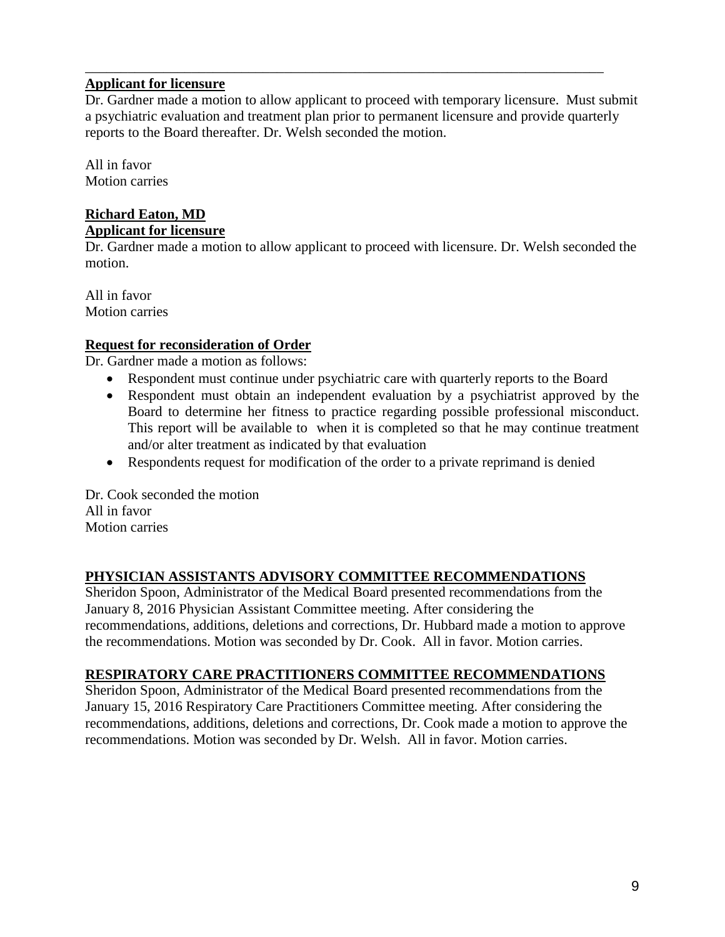## **Applicant for licensure**

Dr. Gardner made a motion to allow applicant to proceed with temporary licensure. Must submit a psychiatric evaluation and treatment plan prior to permanent licensure and provide quarterly reports to the Board thereafter. Dr. Welsh seconded the motion.

\_\_\_\_\_\_\_\_\_\_\_\_\_\_\_\_\_\_\_\_\_\_\_\_\_\_\_\_\_\_\_\_\_\_\_\_\_\_\_\_\_\_\_\_\_\_\_\_\_\_\_\_\_\_\_\_\_\_\_\_\_\_\_\_\_\_\_\_\_\_\_\_\_

All in favor Motion carries

#### **Richard Eaton, MD Applicant for licensure**

Dr. Gardner made a motion to allow applicant to proceed with licensure. Dr. Welsh seconded the motion.

All in favor Motion carries

# **Request for reconsideration of Order**

Dr. Gardner made a motion as follows:

- Respondent must continue under psychiatric care with quarterly reports to the Board
- Respondent must obtain an independent evaluation by a psychiatrist approved by the Board to determine her fitness to practice regarding possible professional misconduct. This report will be available to when it is completed so that he may continue treatment and/or alter treatment as indicated by that evaluation
- Respondents request for modification of the order to a private reprimand is denied

Dr. Cook seconded the motion All in favor Motion carries

## **PHYSICIAN ASSISTANTS ADVISORY COMMITTEE RECOMMENDATIONS**

Sheridon Spoon, Administrator of the Medical Board presented recommendations from the January 8, 2016 Physician Assistant Committee meeting. After considering the recommendations, additions, deletions and corrections, Dr. Hubbard made a motion to approve the recommendations. Motion was seconded by Dr. Cook. All in favor. Motion carries.

## **RESPIRATORY CARE PRACTITIONERS COMMITTEE RECOMMENDATIONS**

Sheridon Spoon, Administrator of the Medical Board presented recommendations from the January 15, 2016 Respiratory Care Practitioners Committee meeting. After considering the recommendations, additions, deletions and corrections, Dr. Cook made a motion to approve the recommendations. Motion was seconded by Dr. Welsh. All in favor. Motion carries.